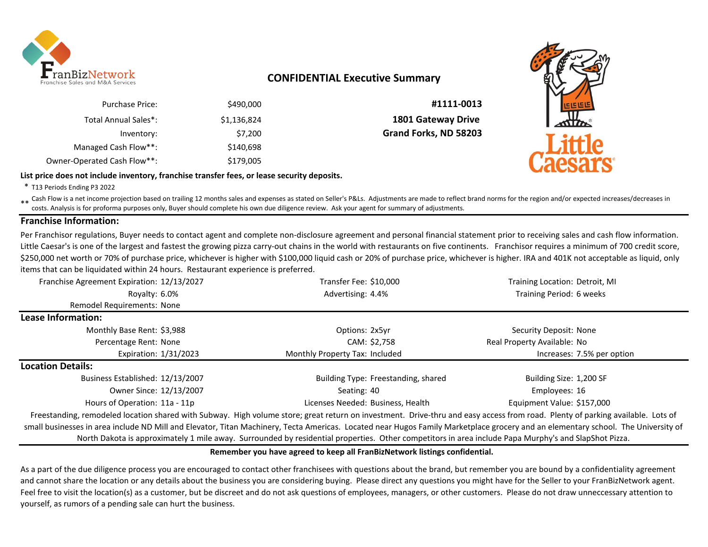

# **CONFIDENTIAL Executive Summary**

| #1111-0013                | \$490,000   | <b>Purchase Price:</b>      |
|---------------------------|-------------|-----------------------------|
| <b>1801 Gateway Drive</b> | \$1,136,824 | Total Annual Sales*:        |
| Grand Forks, ND 58203     | \$7,200     | Inventory:                  |
|                           | \$140,698   | Managed Cash Flow**:        |
|                           | \$179,005   | Owner-Operated Cash Flow**: |





\* T13 Periods Ending P3 2022

\*\* Cash Flow is a net income projection based on trailing 12 months sales and expenses as stated on Seller's P&Ls. Adjustments are made to reflect brand norms for the region and/or expected increases/decreases in<br>Costs, An costs. Analysis is for proforma purposes only, Buyer should complete his own due diligence review. Ask your agent for summary of adjustments.

## **Franchise Information:**

Per Franchisor regulations, Buyer needs to contact agent and complete non-disclosure agreement and personal financial statement prior to receiving sales and cash flow information. Little Caesar's is one of the largest and fastest the growing pizza carry-out chains in the world with restaurants on five continents. Franchisor requires a minimum of 700 credit score, \$250,000 net worth or 70% of purchase price, whichever is higher with \$100,000 liquid cash or 20% of purchase price, whichever is higher. IRA and 401K not acceptable as liquid, only items that can be liquidated within 24 hours. Restaurant experience is preferred.

| Franchise Agreement Expiration: 12/13/2027 | Transfer Fee: \$10,000                                                                                                                                                       | Training Location: Detroit, MI |
|--------------------------------------------|------------------------------------------------------------------------------------------------------------------------------------------------------------------------------|--------------------------------|
| Rovalty: 6.0%                              | Advertising: 4.4%                                                                                                                                                            | Training Period: 6 weeks       |
| Remodel Requirements: None                 |                                                                                                                                                                              |                                |
| Lease Information:                         |                                                                                                                                                                              |                                |
| Monthly Base Rent: \$3,988                 | Options: 2x5yr                                                                                                                                                               | Security Deposit: None         |
| Percentage Rent: None                      | CAM: \$2,758                                                                                                                                                                 | Real Property Available: No    |
| Expiration: 1/31/2023                      | Monthly Property Tax: Included                                                                                                                                               | Increases: 7.5% per option     |
| <b>Location Details:</b>                   |                                                                                                                                                                              |                                |
| Business Established: 12/13/2007           | Building Type: Freestanding, shared                                                                                                                                          | Building Size: 1,200 SF        |
| Owner Since: 12/13/2007                    | Seating: 40                                                                                                                                                                  | Employees: 16                  |
| Hours of Operation: 11a - 11p              | Licenses Needed: Business, Health                                                                                                                                            | Equipment Value: \$157,000     |
|                                            | Ereestanding remodeled location shared with Subway High volume store; great return on investment. Drive-thru and easy access from road. Plenty of parking available, Lots of |                                |

leled location shared with Subway. High volume store; great return on investment. Drive-thru and easy access from road. Plenty of parking a small businesses in area include ND Mill and Elevator, Titan Machinery, Tecta Americas. Located near Hugos Family Marketplace grocery and an elementary school. The University of North Dakota is approximately 1 mile away. Surrounded by residential properties. Other competitors in area include Papa Murphy's and SlapShot Pizza.

#### **Remember you have agreed to keep all FranBizNetwork listings confidential.**

As a part of the due diligence process you are encouraged to contact other franchisees with questions about the brand, but remember you are bound by a confidentiality agreement and cannot share the location or any details about the business you are considering buying. Please direct any questions you might have for the Seller to your FranBizNetwork agent. Feel free to visit the location(s) as a customer, but be discreet and do not ask questions of employees, managers, or other customers. Please do not draw unneccessary attention to yourself, as rumors of a pending sale can hurt the business.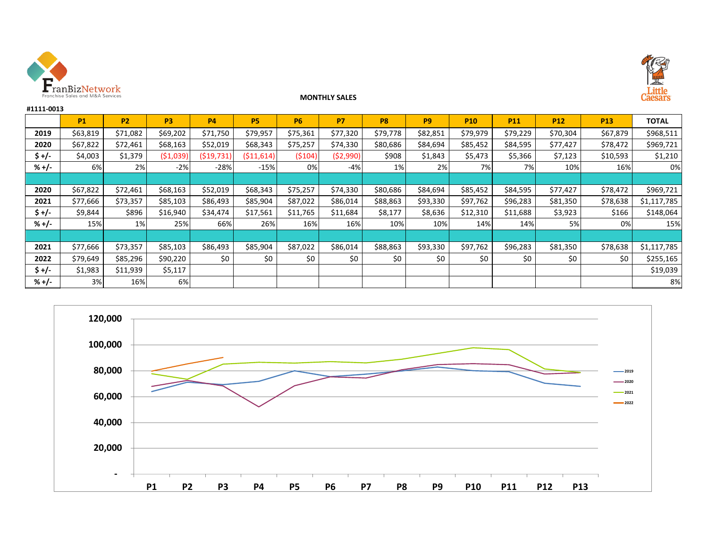

**#1111-0013**



## **MONTHLY SALES**

|         | <b>P1</b> | <b>P2</b> | P <sub>3</sub> | <b>P4</b>  | <b>P5</b>   | <b>P6</b> | <b>P7</b>  | P <sub>8</sub> | <b>P9</b> | <b>P10</b> | <b>P11</b> | <b>P12</b> | <b>P13</b> | <b>TOTAL</b> |
|---------|-----------|-----------|----------------|------------|-------------|-----------|------------|----------------|-----------|------------|------------|------------|------------|--------------|
| 2019    | \$63,819  | \$71,082  | \$69,202       | \$71,750   | \$79,957    | \$75,361  | \$77,320   | \$79,778       | \$82,851  | \$79,979   | \$79,229   | \$70,304   | \$67,879   | \$968,511    |
| 2020    | \$67,822  | \$72,461  | \$68,163       | \$52,019   | \$68,343    | \$75,257  | \$74,330   | \$80,686       | \$84,694  | \$85,452   | \$84,595   | \$77,427   | \$78,472   | \$969,721    |
| $$+/-$  | \$4,003   | \$1,379   | ( \$1,039]     | (519, 731) | ( \$11,614) | (5104)    | ( \$2,990) | \$908          | \$1,843   | \$5,473    | \$5,366    | \$7,123    | \$10,593   | \$1,210      |
| $% +/-$ | 6%        | 2%        | $-2%$          | $-28%$     | $-15%$      | 0%        | $-4%$      | 1%             | 2%        | 7%         | 7%         | 10%        | 16%        | 0%           |
|         |           |           |                |            |             |           |            |                |           |            |            |            |            |              |
| 2020    | \$67,822  | \$72,461  | \$68,163       | \$52,019   | \$68,343    | \$75,257  | \$74,330   | \$80,686       | \$84,694  | \$85,452   | \$84,595   | \$77,427   | \$78,472   | \$969,721    |
| 2021    | \$77,666  | \$73,357  | \$85,103       | \$86,493   | \$85,904    | \$87,022  | \$86,014   | \$88,863       | \$93,330  | \$97,762   | \$96,283   | \$81,350   | \$78,638   | \$1,117,785  |
| $$+/-$  | \$9,844   | \$896     | \$16,940       | \$34,474   | \$17,561    | \$11,765  | \$11,684   | \$8,177        | \$8,636   | \$12,310   | \$11,688   | \$3,923    | \$166      | \$148,064    |
| $% +/-$ | 15%       | 1%        | 25%            | 66%        | 26%         | 16%       | 16%        | 10%            | 10%       | 14%        | 14%        | 5%         | 0%         | 15%          |
|         |           |           |                |            |             |           |            |                |           |            |            |            |            |              |
| 2021    | \$77,666  | \$73,357  | \$85,103       | \$86,493   | \$85,904    | \$87,022  | \$86,014   | \$88,863       | \$93,330  | \$97,762   | \$96,283   | \$81,350   | \$78,638   | \$1,117,785  |
| 2022    | \$79,649  | \$85,296  | \$90,220       | \$0        | \$0         | \$0       | \$0        | \$0            | \$0       | \$0        | \$0        | \$0        | \$0        | \$255,165    |
| $$+/-$  | \$1,983   | \$11,939  | \$5,117        |            |             |           |            |                |           |            |            |            |            | \$19,039     |
| %+/-    | 3%        | 16%       | 6%             |            |             |           |            |                |           |            |            |            |            | 8%           |